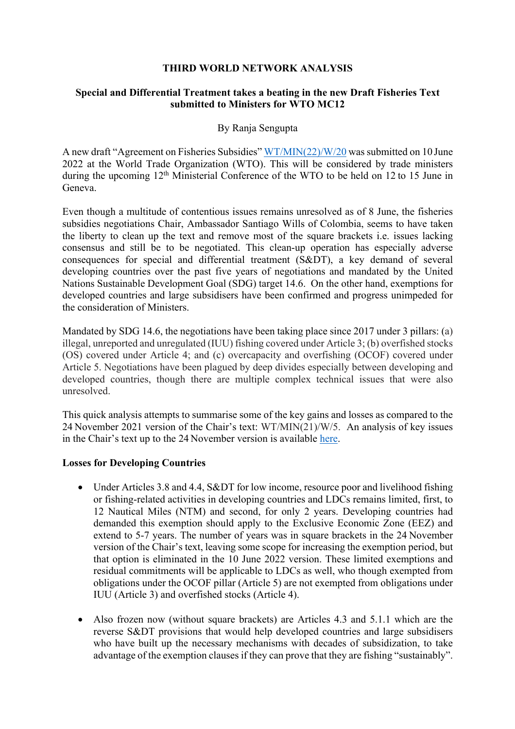## **THIRD WORLD NETWORK ANALYSIS**

## **Special and Differential Treatment takes a beating in the new Draft Fisheries Text submitted to Ministers for WTO MC12**

## By Ranja Sengupta

A new draft "Agreement on Fisheries Subsidies" WT/MIN(22)/W/20 was submitted on 10 June 2022 at the World Trade Organization (WTO). This will be considered by trade ministers during the upcoming 12th Ministerial Conference of the WTO to be held on 12 to 15 June in Geneva.

Even though a multitude of contentious issues remains unresolved as of 8 June, the fisheries subsidies negotiations Chair, Ambassador Santiago Wills of Colombia, seems to have taken the liberty to clean up the text and remove most of the square brackets i.e. issues lacking consensus and still be to be negotiated. This clean-up operation has especially adverse consequences for special and differential treatment (S&DT), a key demand of several developing countries over the past five years of negotiations and mandated by the United Nations Sustainable Development Goal (SDG) target 14.6. On the other hand, exemptions for developed countries and large subsidisers have been confirmed and progress unimpeded for the consideration of Ministers.

Mandated by SDG 14.6, the negotiations have been taking place since 2017 under 3 pillars: (a) illegal, unreported and unregulated (IUU) fishing covered under Article 3; (b) overfished stocks (OS) covered under Article 4; and (c) overcapacity and overfishing (OCOF) covered under Article 5. Negotiations have been plagued by deep divides especially between developing and developed countries, though there are multiple complex technical issues that were also unresolved.

This quick analysis attempts to summarise some of the key gains and losses as compared to the 24 November 2021 version of the Chair's text: WT/MIN(21)/W/5. An analysis of key issues in the Chair's text up to the 24 November version is available here.

#### **Losses for Developing Countries**

- Under Articles 3.8 and 4.4, S&DT for low income, resource poor and livelihood fishing or fishing-related activities in developing countries and LDCs remains limited, first, to 12 Nautical Miles (NTM) and second, for only 2 years. Developing countries had demanded this exemption should apply to the Exclusive Economic Zone (EEZ) and extend to 5-7 years. The number of years was in square brackets in the 24 November version of the Chair's text, leaving some scope for increasing the exemption period, but that option is eliminated in the 10 June 2022 version. These limited exemptions and residual commitments will be applicable to LDCs as well, who though exempted from obligations under the OCOF pillar (Article 5) are not exempted from obligations under IUU (Article 3) and overfished stocks (Article 4).
- Also frozen now (without square brackets) are Articles 4.3 and 5.1.1 which are the reverse S&DT provisions that would help developed countries and large subsidisers who have built up the necessary mechanisms with decades of subsidization, to take advantage of the exemption clauses if they can prove that they are fishing "sustainably".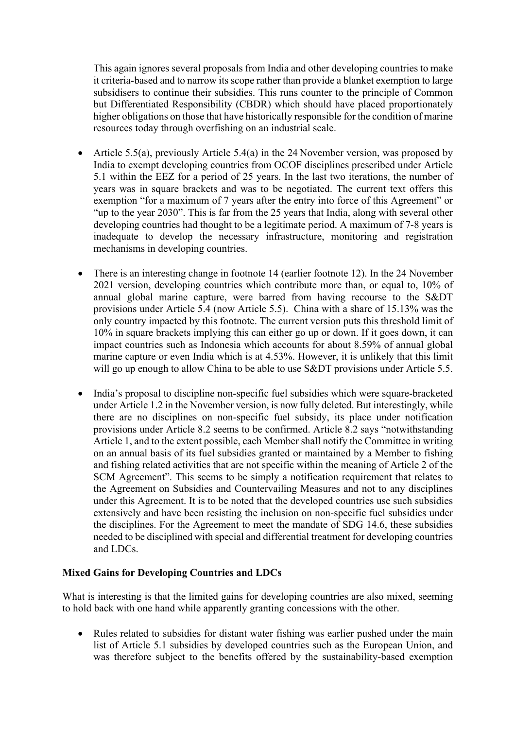This again ignores several proposals from India and other developing countries to make it criteria-based and to narrow its scope rather than provide a blanket exemption to large subsidisers to continue their subsidies. This runs counter to the principle of Common but Differentiated Responsibility (CBDR) which should have placed proportionately higher obligations on those that have historically responsible for the condition of marine resources today through overfishing on an industrial scale.

- Article 5.5(a), previously Article 5.4(a) in the 24 November version, was proposed by India to exempt developing countries from OCOF disciplines prescribed under Article 5.1 within the EEZ for a period of 25 years. In the last two iterations, the number of years was in square brackets and was to be negotiated. The current text offers this exemption "for a maximum of 7 years after the entry into force of this Agreement" or "up to the year 2030". This is far from the 25 years that India, along with several other developing countries had thought to be a legitimate period. A maximum of 7-8 years is inadequate to develop the necessary infrastructure, monitoring and registration mechanisms in developing countries.
- There is an interesting change in footnote 14 (earlier footnote 12). In the 24 November 2021 version, developing countries which contribute more than, or equal to, 10% of annual global marine capture, were barred from having recourse to the S&DT provisions under Article 5.4 (now Article 5.5). China with a share of 15.13% was the only country impacted by this footnote. The current version puts this threshold limit of 10% in square brackets implying this can either go up or down. If it goes down, it can impact countries such as Indonesia which accounts for about 8.59% of annual global marine capture or even India which is at 4.53%. However, it is unlikely that this limit will go up enough to allow China to be able to use S&DT provisions under Article 5.5.
- India's proposal to discipline non-specific fuel subsidies which were square-bracketed under Article 1.2 in the November version, is now fully deleted. But interestingly, while there are no disciplines on non-specific fuel subsidy, its place under notification provisions under Article 8.2 seems to be confirmed. Article 8.2 says "notwithstanding Article 1, and to the extent possible, each Member shall notify the Committee in writing on an annual basis of its fuel subsidies granted or maintained by a Member to fishing and fishing related activities that are not specific within the meaning of Article 2 of the SCM Agreement". This seems to be simply a notification requirement that relates to the Agreement on Subsidies and Countervailing Measures and not to any disciplines under this Agreement. It is to be noted that the developed countries use such subsidies extensively and have been resisting the inclusion on non-specific fuel subsidies under the disciplines. For the Agreement to meet the mandate of SDG 14.6, these subsidies needed to be disciplined with special and differential treatment for developing countries and LDCs.

# **Mixed Gains for Developing Countries and LDCs**

What is interesting is that the limited gains for developing countries are also mixed, seeming to hold back with one hand while apparently granting concessions with the other.

• Rules related to subsidies for distant water fishing was earlier pushed under the main list of Article 5.1 subsidies by developed countries such as the European Union, and was therefore subject to the benefits offered by the sustainability-based exemption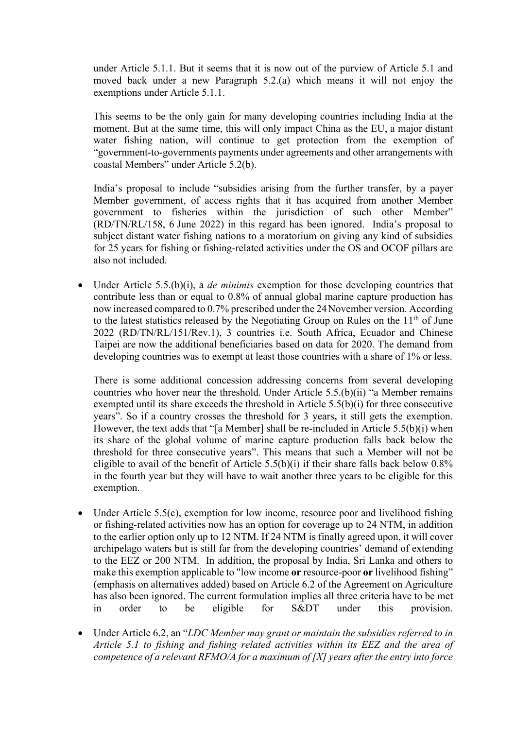under Article 5.1.1. But it seems that it is now out of the purview of Article 5.1 and moved back under a new Paragraph 5.2.(a) which means it will not enjoy the exemptions under Article 5.1.1.

This seems to be the only gain for many developing countries including India at the moment. But at the same time, this will only impact China as the EU, a major distant water fishing nation, will continue to get protection from the exemption of "government-to-governments payments under agreements and other arrangements with coastal Members" under Article 5.2(b).

India's proposal to include "subsidies arising from the further transfer, by a payer Member government, of access rights that it has acquired from another Member government to fisheries within the jurisdiction of such other Member" (RD/TN/RL/158, 6 June 2022) in this regard has been ignored. India's proposal to subject distant water fishing nations to a moratorium on giving any kind of subsidies for 25 years for fishing or fishing-related activities under the OS and OCOF pillars are also not included.

• Under Article 5.5.(b)(i), a *de minimis* exemption for those developing countries that contribute less than or equal to 0.8% of annual global marine capture production has now increased compared to 0.7% prescribed under the 24November version. According to the latest statistics released by the Negotiating Group on Rules on the  $11<sup>th</sup>$  of June 2022 (RD/TN/RL/151/Rev.1), 3 countries i.e. South Africa, Ecuador and Chinese Taipei are now the additional beneficiaries based on data for 2020. The demand from developing countries was to exempt at least those countries with a share of 1% or less.

There is some additional concession addressing concerns from several developing countries who hover near the threshold. Under Article 5.5.(b)(ii) "a Member remains exempted until its share exceeds the threshold in Article 5.5(b)(i) for three consecutive years". So if a country crosses the threshold for 3 years**,** it still gets the exemption. However, the text adds that "[a Member] shall be re-included in Article 5.5(b)(i) when its share of the global volume of marine capture production falls back below the threshold for three consecutive years". This means that such a Member will not be eligible to avail of the benefit of Article 5.5(b)(i) if their share falls back below  $0.8\%$ in the fourth year but they will have to wait another three years to be eligible for this exemption.

- Under Article 5.5(c), exemption for low income, resource poor and livelihood fishing or fishing-related activities now has an option for coverage up to 24 NTM, in addition to the earlier option only up to 12 NTM. If 24 NTM is finally agreed upon, it will cover archipelago waters but is still far from the developing countries' demand of extending to the EEZ or 200 NTM. In addition, the proposal by India, Sri Lanka and others to make this exemption applicable to "low income **or** resource-poor **or** livelihood fishing" (emphasis on alternatives added) based on Article 6.2 of the Agreement on Agriculture has also been ignored. The current formulation implies all three criteria have to be met in order to be eligible for S&DT under this provision.
- Under Article 6.2, an "*LDC Member may grant or maintain the subsidies referred to in Article 5.1 to fishing and fishing related activities within its EEZ and the area of competence of a relevant RFMO/A for a maximum of [X] years after the entry into force*